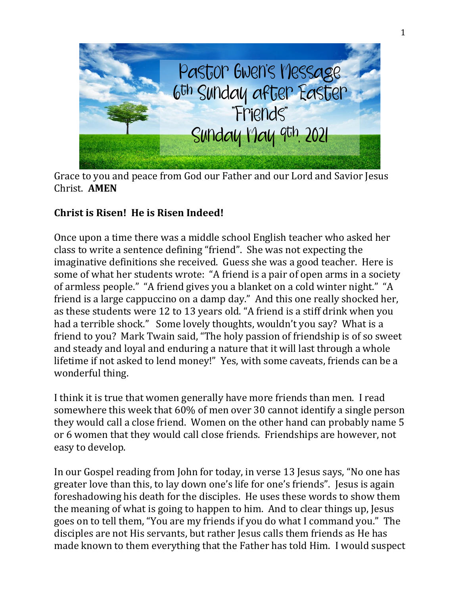

Grace to you and peace from God our Father and our Lord and Savior Jesus Christ. **AMEN**

## **Christ is Risen! He is Risen Indeed!**

Once upon a time there was a middle school English teacher who asked her class to write a sentence defining "friend". She was not expecting the imaginative definitions she received. Guess she was a good teacher. Here is some of what her students wrote: "A friend is a pair of open arms in a society of armless people." "A friend gives you a blanket on a cold winter night." "A friend is a large cappuccino on a damp day." And this one really shocked her, as these students were 12 to 13 years old. "A friend is a stiff drink when you had a terrible shock." Some lovely thoughts, wouldn't you say? What is a friend to you? Mark Twain said, "The holy passion of friendship is of so sweet and steady and loyal and enduring a nature that it will last through a whole lifetime if not asked to lend money!" Yes, with some caveats, friends can be a wonderful thing.

I think it is true that women generally have more friends than men. I read somewhere this week that 60% of men over 30 cannot identify a single person they would call a close friend. Women on the other hand can probably name 5 or 6 women that they would call close friends. Friendships are however, not easy to develop.

In our Gospel reading from John for today, in verse 13 Jesus says, "No one has greater love than this, to lay down one's life for one's friends". Jesus is again foreshadowing his death for the disciples. He uses these words to show them the meaning of what is going to happen to him. And to clear things up, Jesus goes on to tell them, "You are my friends if you do what I command you." The disciples are not His servants, but rather Jesus calls them friends as He has made known to them everything that the Father has told Him. I would suspect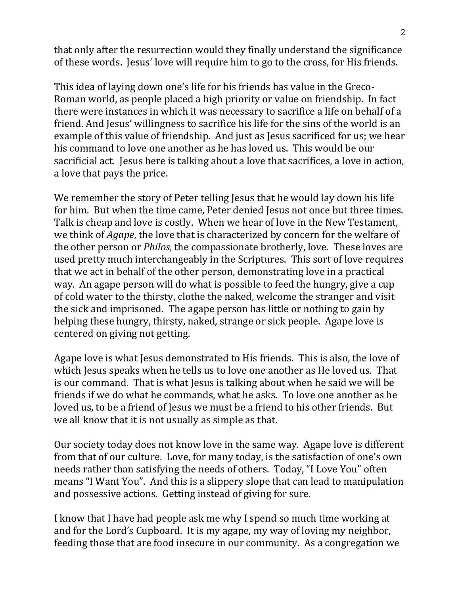that only after the resurrection would they finally understand the significance of these words. Jesus' love will require him to go to the cross, for His friends.

This idea of laying down one's life for his friends has value in the Greco-Roman world, as people placed a high priority or value on friendship. In fact there were instances in which it was necessary to sacrifice a life on behalf of a friend. And Jesus' willingness to sacrifice his life for the sins of the world is an example of this value of friendship. And just as Jesus sacrificed for us; we hear his command to love one another as he has loved us. This would be our sacrificial act. Jesus here is talking about a love that sacrifices, a love in action, a love that pays the price.

We remember the story of Peter telling Jesus that he would lay down his life for him. But when the time came, Peter denied Jesus not once but three times. Talk is cheap and love is costly. When we hear of love in the New Testament, we think of *Agape*, the love that is characterized by concern for the welfare of the other person or *Philos*, the compassionate brotherly, love. These loves are used pretty much interchangeably in the Scriptures. This sort of love requires that we act in behalf of the other person, demonstrating love in a practical way. An agape person will do what is possible to feed the hungry, give a cup of cold water to the thirsty, clothe the naked, welcome the stranger and visit the sick and imprisoned. The agape person has little or nothing to gain by helping these hungry, thirsty, naked, strange or sick people. Agape love is centered on giving not getting.

Agape love is what Jesus demonstrated to His friends. This is also, the love of which Jesus speaks when he tells us to love one another as He loved us. That is our command. That is what Jesus is talking about when he said we will be friends if we do what he commands, what he asks. To love one another as he loved us, to be a friend of Jesus we must be a friend to his other friends. But we all know that it is not usually as simple as that.

Our society today does not know love in the same way. Agape love is different from that of our culture. Love, for many today, is the satisfaction of one's own needs rather than satisfying the needs of others. Today, "I Love You" often means "I Want You". And this is a slippery slope that can lead to manipulation and possessive actions. Getting instead of giving for sure.

I know that I have had people ask me why I spend so much time working at and for the Lord's Cupboard. It is my agape, my way of loving my neighbor, feeding those that are food insecure in our community. As a congregation we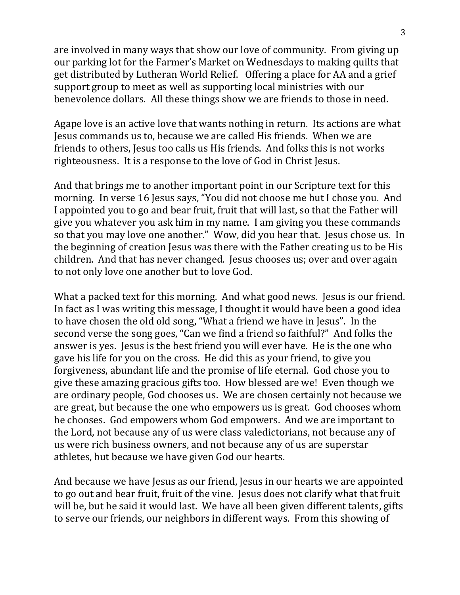are involved in many ways that show our love of community. From giving up our parking lot for the Farmer's Market on Wednesdays to making quilts that get distributed by Lutheran World Relief. Offering a place for AA and a grief support group to meet as well as supporting local ministries with our benevolence dollars. All these things show we are friends to those in need.

Agape love is an active love that wants nothing in return. Its actions are what Jesus commands us to, because we are called His friends. When we are friends to others, Jesus too calls us His friends. And folks this is not works righteousness. It is a response to the love of God in Christ Jesus.

And that brings me to another important point in our Scripture text for this morning. In verse 16 Jesus says, "You did not choose me but I chose you. And I appointed you to go and bear fruit, fruit that will last, so that the Father will give you whatever you ask him in my name. I am giving you these commands so that you may love one another." Wow, did you hear that. Jesus chose us. In the beginning of creation Jesus was there with the Father creating us to be His children. And that has never changed. Jesus chooses us; over and over again to not only love one another but to love God.

What a packed text for this morning. And what good news. Jesus is our friend. In fact as I was writing this message, I thought it would have been a good idea to have chosen the old old song, "What a friend we have in Jesus". In the second verse the song goes, "Can we find a friend so faithful?" And folks the answer is yes. Jesus is the best friend you will ever have. He is the one who gave his life for you on the cross. He did this as your friend, to give you forgiveness, abundant life and the promise of life eternal. God chose you to give these amazing gracious gifts too. How blessed are we! Even though we are ordinary people, God chooses us. We are chosen certainly not because we are great, but because the one who empowers us is great. God chooses whom he chooses. God empowers whom God empowers. And we are important to the Lord, not because any of us were class valedictorians, not because any of us were rich business owners, and not because any of us are superstar athletes, but because we have given God our hearts.

And because we have Jesus as our friend, Jesus in our hearts we are appointed to go out and bear fruit, fruit of the vine. Jesus does not clarify what that fruit will be, but he said it would last. We have all been given different talents, gifts to serve our friends, our neighbors in different ways. From this showing of